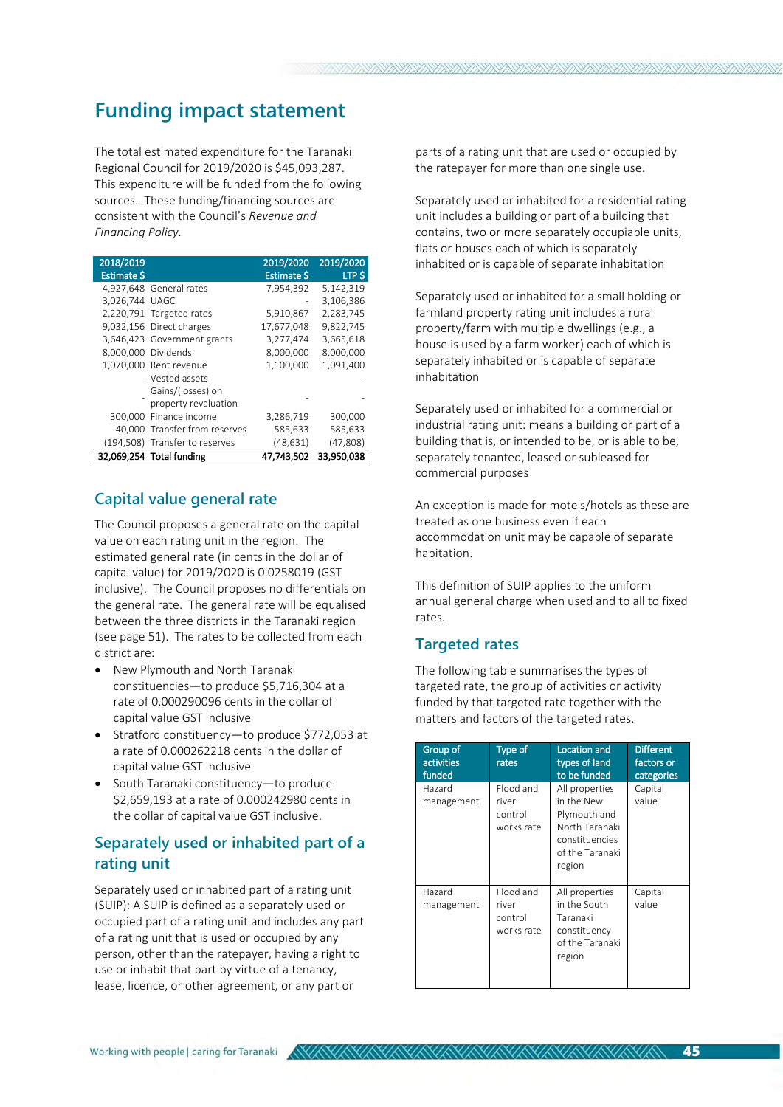# **Funding impact statement**

The total estimated expenditure for the Taranaki Regional Council for 2019/2020 is \$45,093,287. This expenditure will be funded from the following sources. These funding/financing sources are consistent with the Council's *Revenue and Financing Policy.*

| 2018/2019<br><b>Estimate S</b> |                                | 2019/2020<br><b>Estimate S</b> | 2019/2020<br>LTP S |
|--------------------------------|--------------------------------|--------------------------------|--------------------|
|                                | 4,927,648 General rates        | 7,954,392                      | 5,142,319          |
| 3,026,744 UAGC                 |                                |                                | 3,106,386          |
|                                | 2,220,791 Targeted rates       | 5,910,867                      | 2,283,745          |
|                                | 9,032,156 Direct charges       | 17,677,048                     | 9,822,745          |
|                                | 3,646,423 Government grants    | 3,277,474                      | 3,665,618          |
| 8.000.000 Dividends            |                                | 8,000,000                      | 8,000,000          |
|                                | 1,070,000 Rent revenue         | 1,100,000                      | 1,091,400          |
|                                | - Vested assets                |                                |                    |
|                                | Gains/(losses) on              |                                |                    |
|                                | property revaluation           |                                |                    |
|                                | 300,000 Finance income         | 3,286,719                      | 300,000            |
|                                | 40,000 Transfer from reserves  | 585,633                        | 585,633            |
|                                | (194,508) Transfer to reserves | (48, 631)                      | (47,808)           |
|                                | 32,069,254 Total funding       | 47,743,502                     | 33,950,038         |

## **Capital value general rate**

The Council proposes a general rate on the capital value on each rating unit in the region. The estimated general rate (in cents in the dollar of capital value) for 2019/2020 is 0.0258019 (GST inclusive). The Council proposes no differentials on the general rate. The general rate will be equalised between the three districts in the Taranaki region (see page 51). The rates to be collected from each district are:

- New Plymouth and North Taranaki constituencies—to produce \$5,716,304 at a rate of 0.000290096 cents in the dollar of capital value GST inclusive
- Stratford constituency—to produce \$772,053 at a rate of 0.000262218 cents in the dollar of capital value GST inclusive
- South Taranaki constituency—to produce \$2,659,193 at a rate of 0.000242980 cents in the dollar of capital value GST inclusive.

# **Separately used or inhabited part of a rating unit**

Separately used or inhabited part of a rating unit (SUIP): A SUIP is defined as a separately used or occupied part of a rating unit and includes any part of a rating unit that is used or occupied by any person, other than the ratepayer, having a right to use or inhabit that part by virtue of a tenancy, lease, licence, or other agreement, or any part or

parts of a rating unit that are used or occupied by the ratepayer for more than one single use.

Separately used or inhabited for a residential rating unit includes a building or part of a building that contains, two or more separately occupiable units, flats or houses each of which is separately inhabited or is capable of separate inhabitation

Separately used or inhabited for a small holding or farmland property rating unit includes a rural property/farm with multiple dwellings (e.g., a house is used by a farm worker) each of which is separately inhabited or is capable of separate inhabitation

Separately used or inhabited for a commercial or industrial rating unit: means a building or part of a building that is, or intended to be, or is able to be, separately tenanted, leased or subleased for commercial purposes

An exception is made for motels/hotels as these are treated as one business even if each accommodation unit may be capable of separate habitation.

This definition of SUIP applies to the uniform annual general charge when used and to all to fixed rates.

#### **Targeted rates**

The following table summarises the types of targeted rate, the group of activities or activity funded by that targeted rate together with the matters and factors of the targeted rates.

| Group of<br><b>activities</b><br>funded | Type of<br>rates                            | <b>Location and</b><br>types of land<br>to be funded                                                          | <b>Different</b><br>factors or<br>categories |
|-----------------------------------------|---------------------------------------------|---------------------------------------------------------------------------------------------------------------|----------------------------------------------|
| Hazard<br>management                    | Flood and<br>river<br>control<br>works rate | All properties<br>in the New<br>Plymouth and<br>North Taranaki<br>constituencies<br>of the Taranaki<br>region | Capital<br>value                             |
| Hazard<br>management                    | Flood and<br>river<br>control<br>works rate | All properties<br>in the South<br>Taranaki<br>constituency<br>of the Taranaki<br>region                       | Capital<br>value                             |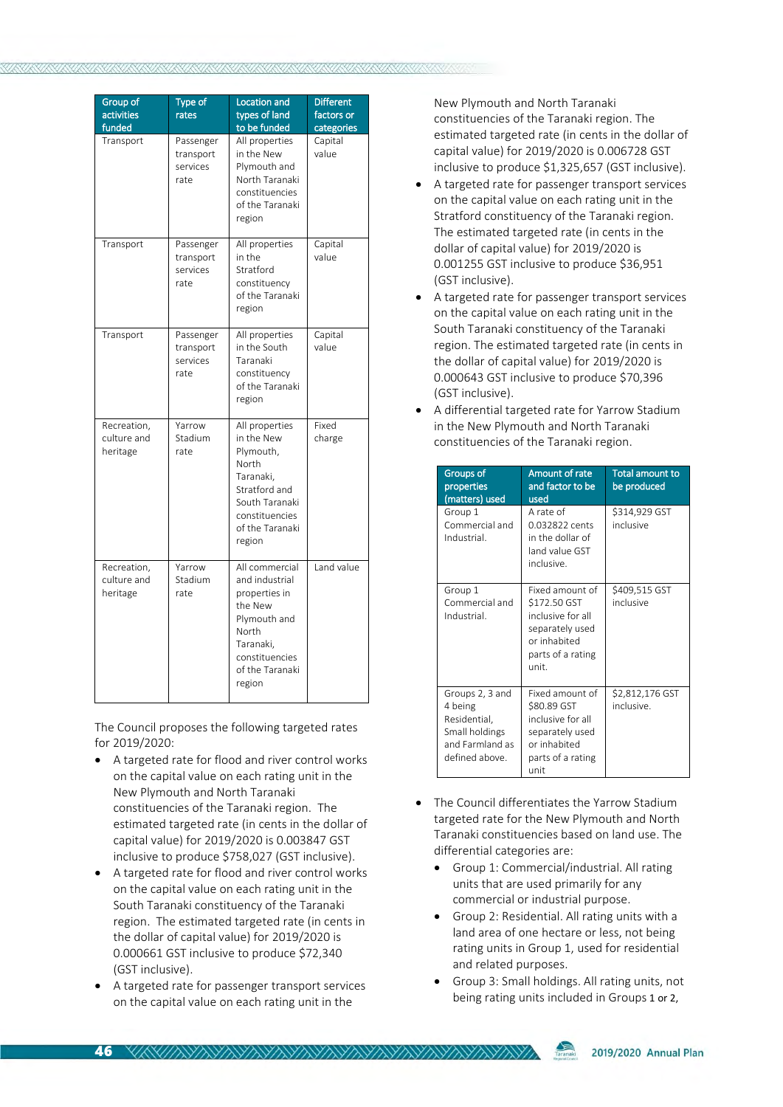| Group of<br>activities<br>funded       | <b>Type of</b><br>rates                    | Location and<br>types of land<br>to be funded                                                                                                     | <b>Different</b><br>factors or<br>categories |
|----------------------------------------|--------------------------------------------|---------------------------------------------------------------------------------------------------------------------------------------------------|----------------------------------------------|
| Transport                              | Passenger<br>transport<br>services<br>rate | All properties<br>in the New<br>Plymouth and<br>North Taranaki<br>constituencies<br>of the Taranaki<br>region                                     | Capital<br>value                             |
| Transport                              | Passenger<br>transport<br>services<br>rate | All properties<br>in the<br>Stratford<br>constituency<br>of the Taranaki<br>region                                                                | Capital<br>value                             |
| Transport                              | Passenger<br>transport<br>services<br>rate | All properties<br>in the South<br>Taranaki<br>constituency<br>of the Taranaki<br>region                                                           | Capital<br>value                             |
| Recreation,<br>culture and<br>heritage | Yarrow<br>Stadium<br>rate                  | All properties<br>in the New<br>Plymouth,<br>North<br>Taranaki,<br>Stratford and<br>South Taranaki<br>constituencies<br>of the Taranaki<br>region | Fixed<br>charge                              |
| Recreation,<br>culture and<br>heritage | Yarrow<br>Stadium<br>rate                  | All commercial<br>and industrial<br>properties in<br>the New<br>Plymouth and<br>North<br>Taranaki.<br>constituencies<br>of the Taranaki<br>region | Land value                                   |

The Council proposes the following targeted rates for 2019/2020:

- A targeted rate for flood and river control works on the capital value on each rating unit in the New Plymouth and North Taranaki constituencies of the Taranaki region. The estimated targeted rate (in cents in the dollar of capital value) for 2019/2020 is 0.003847 GST inclusive to produce \$758,027 (GST inclusive).
- A targeted rate for flood and river control works on the capital value on each rating unit in the South Taranaki constituency of the Taranaki region. The estimated targeted rate (in cents in the dollar of capital value) for 2019/2020 is 0.000661 GST inclusive to produce \$72,340 (GST inclusive).
- A targeted rate for passenger transport services on the capital value on each rating unit in the

New Plymouth and North Taranaki constituencies of the Taranaki region. The estimated targeted rate (in cents in the dollar of capital value) for 2019/2020 is 0.006728 GST inclusive to produce \$1,325,657 (GST inclusive).

- A targeted rate for passenger transport services on the capital value on each rating unit in the Stratford constituency of the Taranaki region. The estimated targeted rate (in cents in the dollar of capital value) for 2019/2020 is 0.001255 GST inclusive to produce \$36,951 (GST inclusive).
- A targeted rate for passenger transport services on the capital value on each rating unit in the South Taranaki constituency of the Taranaki region. The estimated targeted rate (in cents in the dollar of capital value) for 2019/2020 is 0.000643 GST inclusive to produce \$70,396 (GST inclusive).
- A differential targeted rate for Yarrow Stadium in the New Plymouth and North Taranaki constituencies of the Taranaki region.

| Groups of<br>properties<br>(matters) used                                                         | Amount of rate<br>and factor to be<br>used                                                                           | <b>Total amount to</b><br>be produced |
|---------------------------------------------------------------------------------------------------|----------------------------------------------------------------------------------------------------------------------|---------------------------------------|
| Group 1<br>Commercial and<br>Industrial.                                                          | A rate of<br>0.032822 cents<br>in the dollar of<br>land value GST<br>inclusive.                                      | \$314,929 GST<br>inclusive            |
| Group 1<br>Commercial and<br>Industrial                                                           | Fixed amount of<br>\$172.50 GST<br>inclusive for all<br>separately used<br>or inhabited<br>parts of a rating<br>unit | \$409,515 GST<br>inclusive            |
| Groups 2, 3 and<br>4 being<br>Residential,<br>Small holdings<br>and Farmland as<br>defined above. | Fixed amount of<br>\$80.89 GST<br>inclusive for all<br>separately used<br>or inhabited<br>parts of a rating<br>unit  | \$2,812,176 GST<br>inclusive.         |

- The Council differentiates the Yarrow Stadium targeted rate for the New Plymouth and North Taranaki constituencies based on land use. The differential categories are:
	- Group 1: Commercial/industrial. All rating units that are used primarily for any commercial or industrial purpose.
	- Group 2: Residential. All rating units with a land area of one hectare or less, not being rating units in Group 1, used for residential and related purposes.
	- Group 3: Small holdings. All rating units, not being rating units included in Groups 1 or 2,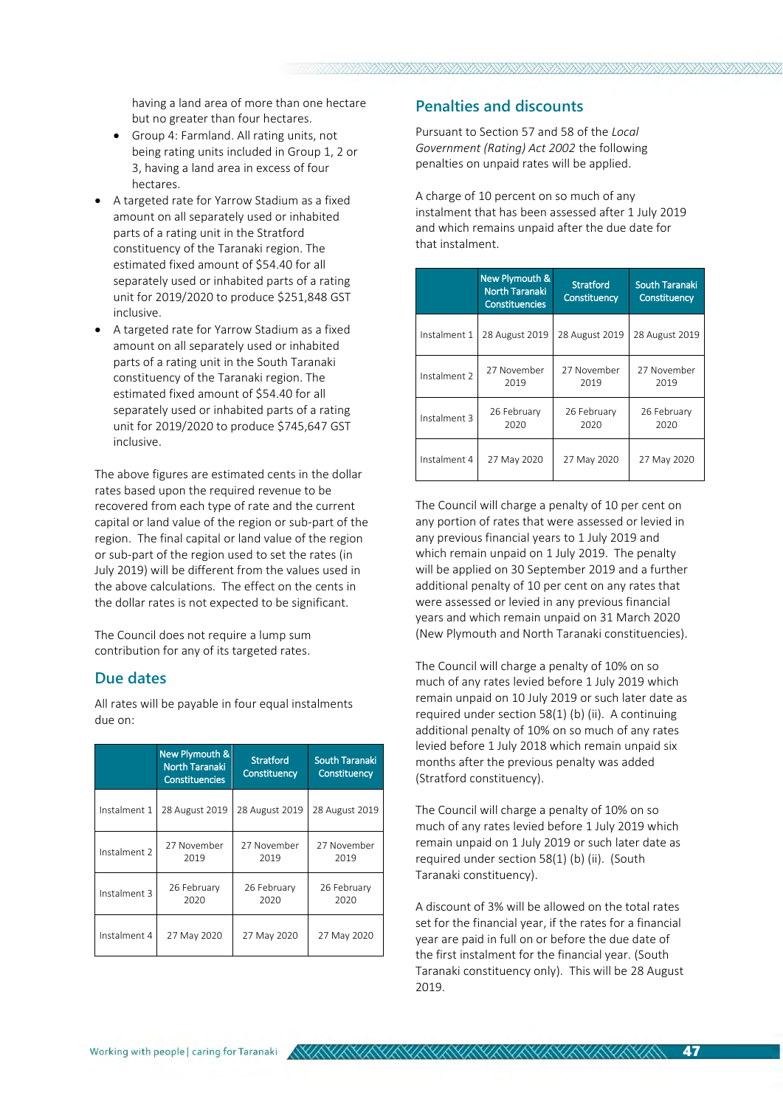having a land area of more than one hectare but no greater than four hectares.

- Group 4: Farmland. All rating units, not being rating units included in Group 1, 2 or 3, having a land area in excess of four hectares.
- A targeted rate for Yarrow Stadium as a fixed amount on all separately used or inhabited parts of a rating unit in the Stratford constituency of the Taranaki region. The estimated fixed amount of \$54.40 for all separately used or inhabited parts of a rating unit for 2019/2020 to produce \$251,848 GST inclusive.
- A targeted rate for Yarrow Stadium as a fixed amount on all separately used or inhabited parts of a rating unit in the South Taranaki constituency of the Taranaki region. The estimated fixed amount of \$54.40 for all separately used or inhabited parts of a rating unit for 2019/2020 to produce \$745,647 GST inclusive.

The above figures are estimated cents in the dollar rates based upon the required revenue to be recovered from each type of rate and the current capital or land value of the region or sub-part of the region. The final capital or land value of the region or sub-part of the region used to set the rates (in July 2019) will be different from the values used in the above calculations. The effect on the cents in the dollar rates is not expected to be significant.

The Council does not require a lump sum contribution for any of its targeted rates.

#### **Due dates**

All rates will be payable in four equal instalments due on:

|              | <b>New Plymouth &amp;</b><br><b>North Taranaki</b><br><b>Constituencies</b> | <b>Stratford</b><br>Constituency | <b>South Taranaki</b><br>Constituency |
|--------------|-----------------------------------------------------------------------------|----------------------------------|---------------------------------------|
| Instalment 1 | 28 August 2019                                                              | 28 August 2019                   | 28 August 2019                        |
| Instalment 2 | 27 November<br>2019                                                         | 27 November<br>2019              | 27 November<br>2019                   |
| Instalment 3 | 26 February<br>2020                                                         | 26 February<br>2020              | 26 February<br>2020                   |
| Instalment 4 | 27 May 2020                                                                 | 27 May 2020                      | 27 May 2020                           |

## **Penalties and discounts**

Pursuant to Section 57 and 58 of the *Local Government (Rating) Act 2002* the following penalties on unpaid rates will be applied.

A charge of 10 percent on so much of any instalment that has been assessed after 1 July 2019 and which remains unpaid after the due date for that instalment.

|              | New Plymouth &<br><b>North Taranaki</b><br><b>Constituencies</b> | <b>Stratford</b><br>Constituency | <b>South Taranaki</b><br>Constituency |
|--------------|------------------------------------------------------------------|----------------------------------|---------------------------------------|
| Instalment 1 | 28 August 2019                                                   | 28 August 2019                   | 28 August 2019                        |
| Instalment 2 | 27 November<br>2019                                              | 27 November<br>2019              | 27 November<br>2019                   |
| Instalment 3 | 26 February<br>2020                                              | 26 February<br>2020              | 26 February<br>2020                   |
| Instalment 4 | 27 May 2020                                                      |                                  | 27 May 2020                           |

The Council will charge a penalty of 10 per cent on any portion of rates that were assessed or levied in any previous financial years to 1 July 2019 and which remain unpaid on 1 July 2019. The penalty will be applied on 30 September 2019 and a further additional penalty of 10 per cent on any rates that were assessed or levied in any previous financial years and which remain unpaid on 31 March 2020 (New Plymouth and North Taranaki constituencies).

The Council will charge a penalty of 10% on so much of any rates levied before 1 July 2019 which remain unpaid on 10 July 2019 or such later date as required under section 58(1) (b) (ii). A continuing additional penalty of 10% on so much of any rates levied before 1 July 2018 which remain unpaid six months after the previous penalty was added (Stratford constituency).

The Council will charge a penalty of 10% on so much of any rates levied before 1 July 2019 which remain unpaid on 1 July 2019 or such later date as required under section 58(1) (b) (ii). (South Taranaki constituency).

A discount of 3% will be allowed on the total rates set for the financial year, if the rates for a financial year are paid in full on or before the due date of the first instalment for the financial year. (South Taranaki constituency only). This will be 28 August 2019.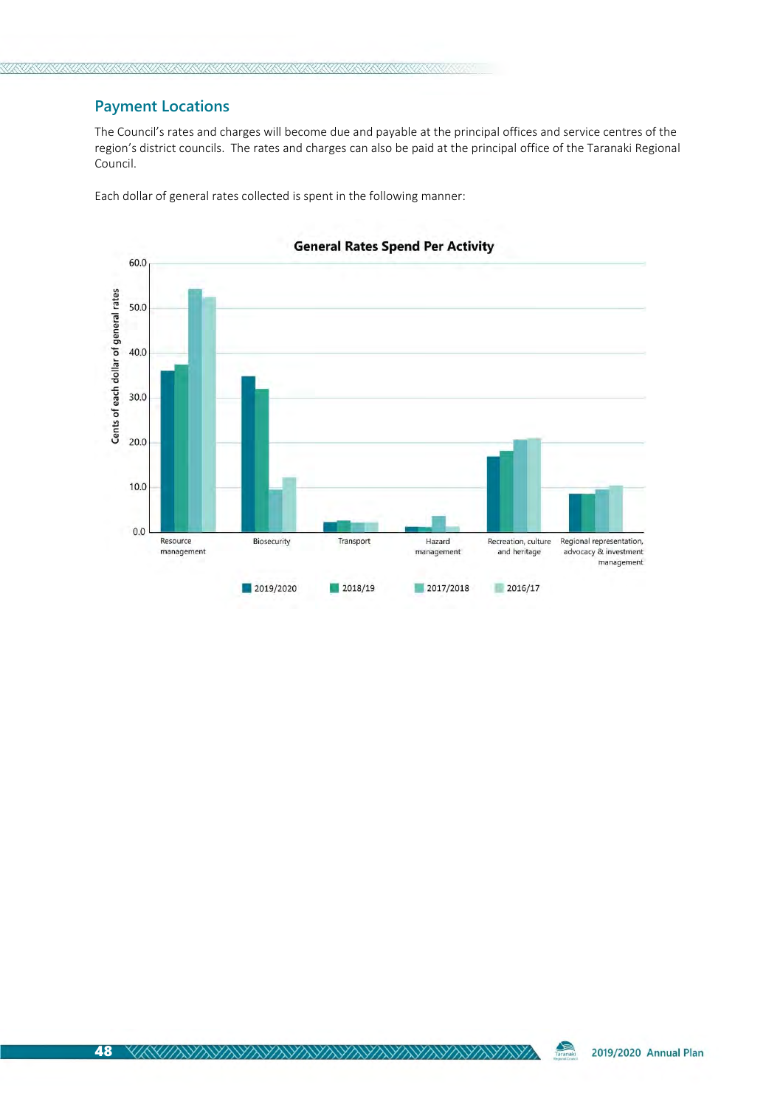# **Payment Locations**

The Council's rates and charges will become due and payable at the principal offices and service centres of the region's district councils. The rates and charges can also be paid at the principal office of the Taranaki Regional Council.

Each dollar of general rates collected is spent in the following manner:



**General Rates Spend Per Activity**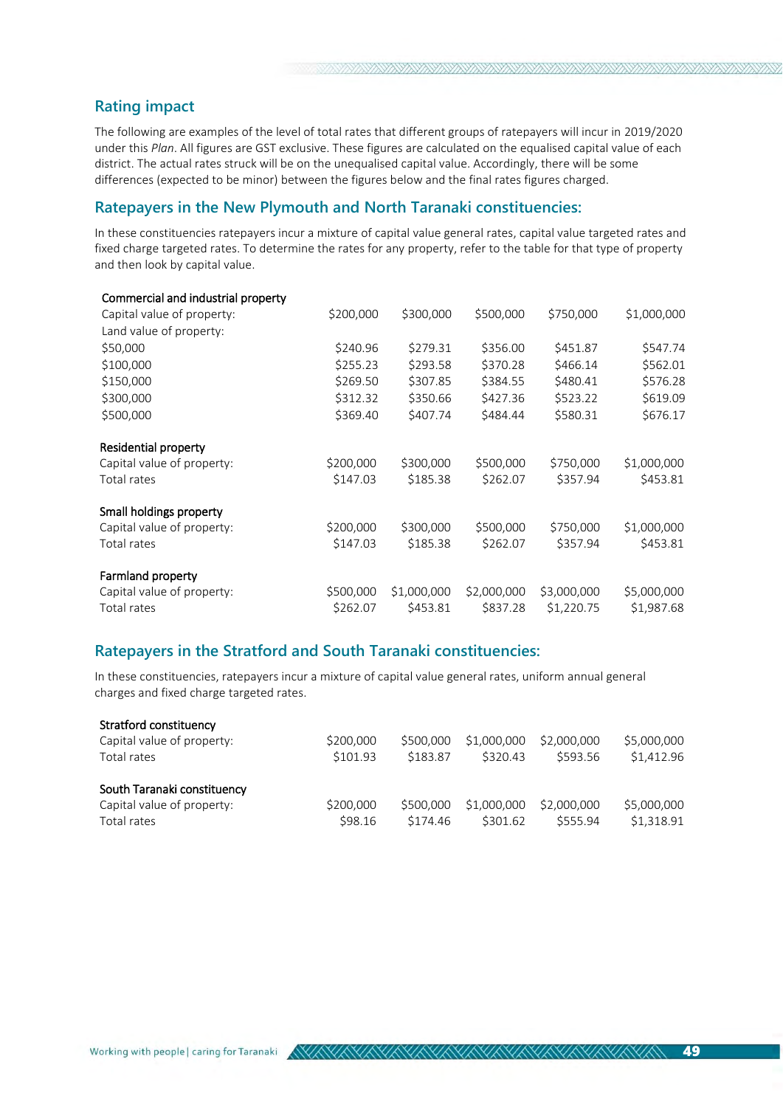# **Rating impact**

The following are examples of the level of total rates that different groups of ratepayers will incur in 2019/2020 under this *Plan*. All figures are GST exclusive. These figures are calculated on the equalised capital value of each district. The actual rates struck will be on the unequalised capital value. Accordingly, there will be some differences (expected to be minor) between the figures below and the final rates figures charged.

#### **Ratepayers in the New Plymouth and North Taranaki constituencies:**

In these constituencies ratepayers incur a mixture of capital value general rates, capital value targeted rates and fixed charge targeted rates. To determine the rates for any property, refer to the table for that type of property and then look by capital value.

| Commercial and industrial property |           |             |             |             |             |
|------------------------------------|-----------|-------------|-------------|-------------|-------------|
| Capital value of property:         | \$200,000 | \$300,000   | \$500,000   | \$750,000   | \$1,000,000 |
| Land value of property:            |           |             |             |             |             |
| \$50,000                           | \$240.96  | \$279.31    | \$356.00    | \$451.87    | \$547.74    |
| \$100,000                          | \$255.23  | \$293.58    | \$370.28    | \$466.14    | \$562.01    |
| \$150,000                          | \$269.50  | \$307.85    | \$384.55    | \$480.41    | \$576.28    |
| \$300,000                          | \$312.32  | \$350.66    | \$427.36    | \$523.22    | \$619.09    |
| \$500,000                          | \$369.40  | \$407.74    | \$484.44    | \$580.31    | \$676.17    |
| Residential property               |           |             |             |             |             |
| Capital value of property:         | \$200,000 | \$300,000   | \$500,000   | \$750,000   | \$1,000,000 |
| Total rates                        | \$147.03  | \$185.38    | \$262.07    | \$357.94    | \$453.81    |
| Small holdings property            |           |             |             |             |             |
| Capital value of property:         | \$200,000 | \$300,000   | \$500,000   | \$750,000   | \$1,000,000 |
| Total rates                        | \$147.03  | \$185.38    | \$262.07    | \$357.94    | \$453.81    |
| Farmland property                  |           |             |             |             |             |
| Capital value of property:         | \$500,000 | \$1,000,000 | \$2,000,000 | \$3,000,000 | \$5,000,000 |
| Total rates                        | \$262.07  | \$453.81    | \$837.28    | \$1,220.75  | \$1,987.68  |
|                                    |           |             |             |             |             |

#### **Ratepayers in the Stratford and South Taranaki constituencies:**

In these constituencies, ratepayers incur a mixture of capital value general rates, uniform annual general charges and fixed charge targeted rates.

| Stratford constituency      |           |           |             |             |             |
|-----------------------------|-----------|-----------|-------------|-------------|-------------|
| Capital value of property:  | \$200,000 | \$500,000 | \$1,000,000 | \$2,000,000 | \$5,000,000 |
| Total rates                 | \$101.93  | \$183.87  | \$320.43    | \$593.56    | \$1,412.96  |
| South Taranaki constituency |           |           |             |             |             |
| Capital value of property:  | \$200,000 | \$500,000 | \$1,000,000 | \$2,000,000 | \$5,000,000 |
| Total rates                 | \$98.16   | \$174.46  | \$301.62    | \$555.94    | \$1,318.91  |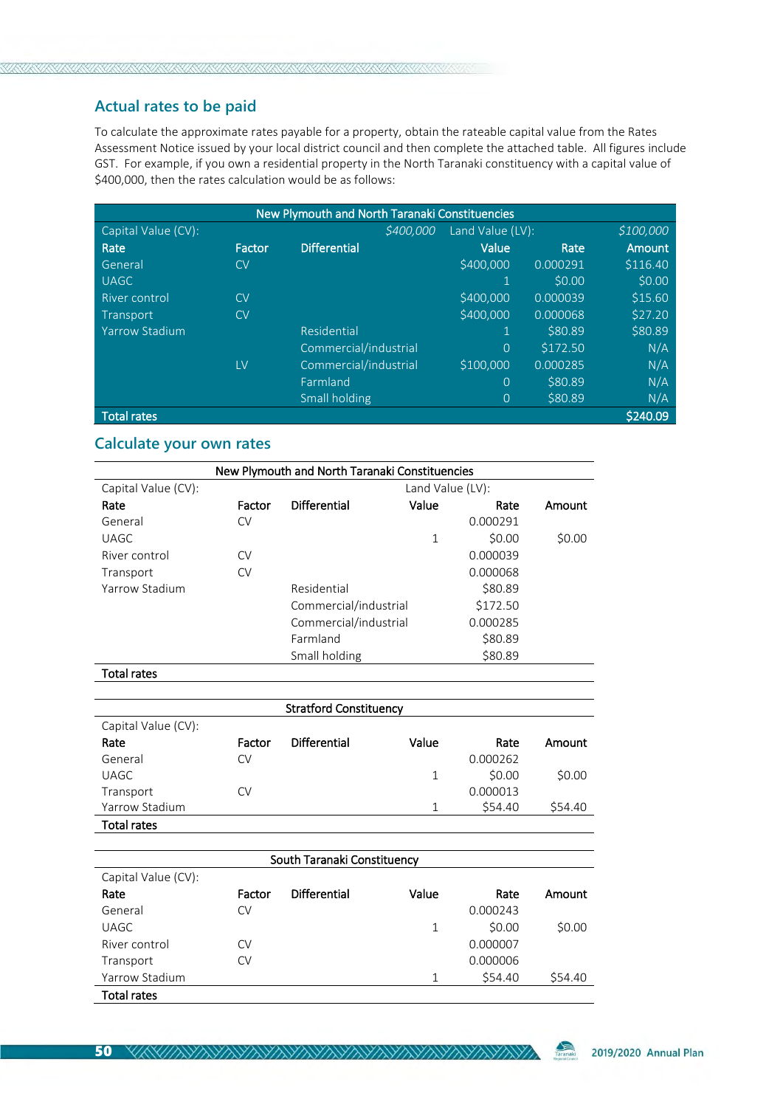# **Actual rates to be paid**

To calculate the approximate rates payable for a property, obtain the rateable capital value from the Rates Assessment Notice issued by your local district council and then complete the attached table. All figures include GST. For example, if you own a residential property in the North Taranaki constituency with a capital value of \$400,000, then the rates calculation would be as follows:

| <b>New Plymouth and North Taranaki Constituencies</b> |        |                       |                  |          |               |
|-------------------------------------------------------|--------|-----------------------|------------------|----------|---------------|
| Capital Value (CV):                                   |        | \$400,000             | Land Value (LV): |          | \$100,000     |
| Rate                                                  | Factor | <b>Differential</b>   | Value            | Rate     | <b>Amount</b> |
| General                                               | CV     |                       | \$400,000        | 0.000291 | \$116.40      |
| <b>UAGC</b>                                           |        |                       |                  | \$0.00   | \$0.00        |
| River control                                         | CV     |                       | \$400,000        | 0.000039 | \$15.60       |
| Transport                                             | CV     |                       | \$400,000        | 0.000068 | \$27.20       |
| <b>Yarrow Stadium</b>                                 |        | Residential           |                  | \$80.89  | \$80.89       |
|                                                       |        | Commercial/industrial | $\Omega$         | \$172.50 | N/A           |
|                                                       | LV     | Commercial/industrial | \$100,000        | 0.000285 | N/A           |
|                                                       |        | Farmland              | $\Omega$         | \$80.89  | N/A           |
|                                                       |        | Small holding         | $\Omega$         | \$80.89  | N/A           |
| <b>Total rates</b>                                    |        |                       |                  |          | \$240.09      |

## **Calculate your own rates**

| New Plymouth and North Taranaki Constituencies |        |                       |       |          |        |
|------------------------------------------------|--------|-----------------------|-------|----------|--------|
| Capital Value (CV):                            |        | Land Value (LV):      |       |          |        |
| Rate                                           | Factor | Differential          | Value | Rate     | Amount |
| General                                        | CV     |                       |       | 0.000291 |        |
| <b>UAGC</b>                                    |        |                       | 1     | \$0.00   | \$0.00 |
| River control                                  | CV     |                       |       | 0.000039 |        |
| Transport                                      | CV     |                       |       | 0.000068 |        |
| Yarrow Stadium                                 |        | Residential           |       | \$80.89  |        |
|                                                |        | Commercial/industrial |       | \$172.50 |        |
|                                                |        | Commercial/industrial |       | 0.000285 |        |
|                                                |        | Farmland              |       | \$80.89  |        |
|                                                |        | Small holding         |       | \$80.89  |        |

Total rates

| <b>Stratford Constituency</b> |        |              |       |          |         |
|-------------------------------|--------|--------------|-------|----------|---------|
| Capital Value (CV):           |        |              |       |          |         |
| Rate                          | Factor | Differential | Value | Rate     | Amount  |
| General                       | CV     |              |       | 0.000262 |         |
| UAGC                          |        |              | 1     | \$0.00   | \$0.00  |
| Transport                     | CV     |              |       | 0.000013 |         |
| Yarrow Stadium                |        |              | 1     | \$54.40  | \$54.40 |
| <b>Total rates</b>            |        |              |       |          |         |

| South Taranaki Constituency |        |              |       |          |         |
|-----------------------------|--------|--------------|-------|----------|---------|
| Capital Value (CV):         |        |              |       |          |         |
| Rate                        | Factor | Differential | Value | Rate     | Amount  |
| General                     | CV     |              |       | 0.000243 |         |
| UAGC                        |        |              | 1     | \$0.00   | \$0.00  |
| River control               | CV     |              |       | 0.000007 |         |
| Transport                   | CV     |              |       | 0.000006 |         |
| Yarrow Stadium              |        |              | 1     | \$54.40  | \$54.40 |
| <b>Total rates</b>          |        |              |       |          |         |